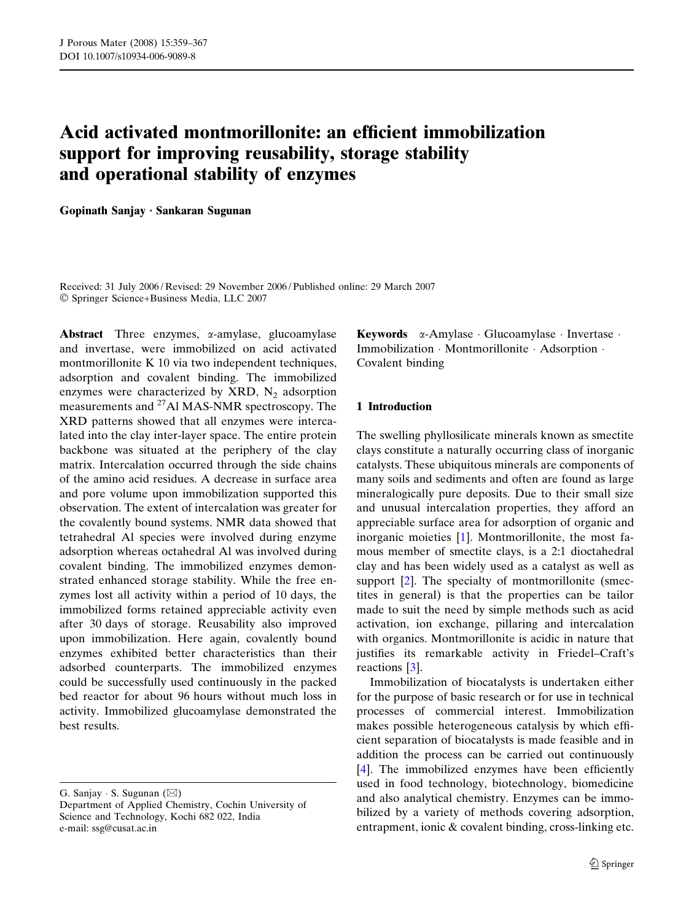# Acid activated montmorillonite: an efficient immobilization support for improving reusability, storage stability and operational stability of enzymes

Gopinath Sanjay · Sankaran Sugunan

Received: 31 July 2006 / Revised: 29 November 2006 / Published online: 29 March 2007 Springer Science+Business Media, LLC 2007

Abstract Three enzymes,  $\alpha$ -amylase, glucoamylase and invertase, were immobilized on acid activated montmorillonite K 10 via two independent techniques, adsorption and covalent binding. The immobilized enzymes were characterized by XRD,  $N_2$  adsorption measurements and 27Al MAS-NMR spectroscopy. The XRD patterns showed that all enzymes were intercalated into the clay inter-layer space. The entire protein backbone was situated at the periphery of the clay matrix. Intercalation occurred through the side chains of the amino acid residues. A decrease in surface area and pore volume upon immobilization supported this observation. The extent of intercalation was greater for the covalently bound systems. NMR data showed that tetrahedral Al species were involved during enzyme adsorption whereas octahedral Al was involved during covalent binding. The immobilized enzymes demonstrated enhanced storage stability. While the free enzymes lost all activity within a period of 10 days, the immobilized forms retained appreciable activity even after 30 days of storage. Reusability also improved upon immobilization. Here again, covalently bound enzymes exhibited better characteristics than their adsorbed counterparts. The immobilized enzymes could be successfully used continuously in the packed bed reactor for about 96 hours without much loss in activity. Immobilized glucoamylase demonstrated the best results.

G. Sanjay  $\cdot$  S. Sugunan ( $\boxtimes$ )

**Keywords**  $\alpha$ -Amylase Glucoamylase Invertase Immobilization · Montmorillonite · Adsorption · Covalent binding

## 1 Introduction

The swelling phyllosilicate minerals known as smectite clays constitute a naturally occurring class of inorganic catalysts. These ubiquitous minerals are components of many soils and sediments and often are found as large mineralogically pure deposits. Due to their small size and unusual intercalation properties, they afford an appreciable surface area for adsorption of organic and inorganic moieties [\[1](#page-7-0)]. Montmorillonite, the most famous member of smectite clays, is a 2:1 dioctahedral clay and has been widely used as a catalyst as well as support [\[2](#page-7-0)]. The specialty of montmorillonite (smectites in general) is that the properties can be tailor made to suit the need by simple methods such as acid activation, ion exchange, pillaring and intercalation with organics. Montmorillonite is acidic in nature that justifies its remarkable activity in Friedel–Craft's reactions [\[3](#page-7-0)].

Immobilization of biocatalysts is undertaken either for the purpose of basic research or for use in technical processes of commercial interest. Immobilization makes possible heterogeneous catalysis by which efficient separation of biocatalysts is made feasible and in addition the process can be carried out continuously [\[4](#page-7-0)]. The immobilized enzymes have been efficiently used in food technology, biotechnology, biomedicine and also analytical chemistry. Enzymes can be immobilized by a variety of methods covering adsorption, entrapment, ionic & covalent binding, cross-linking etc.

Department of Applied Chemistry, Cochin University of Science and Technology, Kochi 682 022, India e-mail: ssg@cusat.ac.in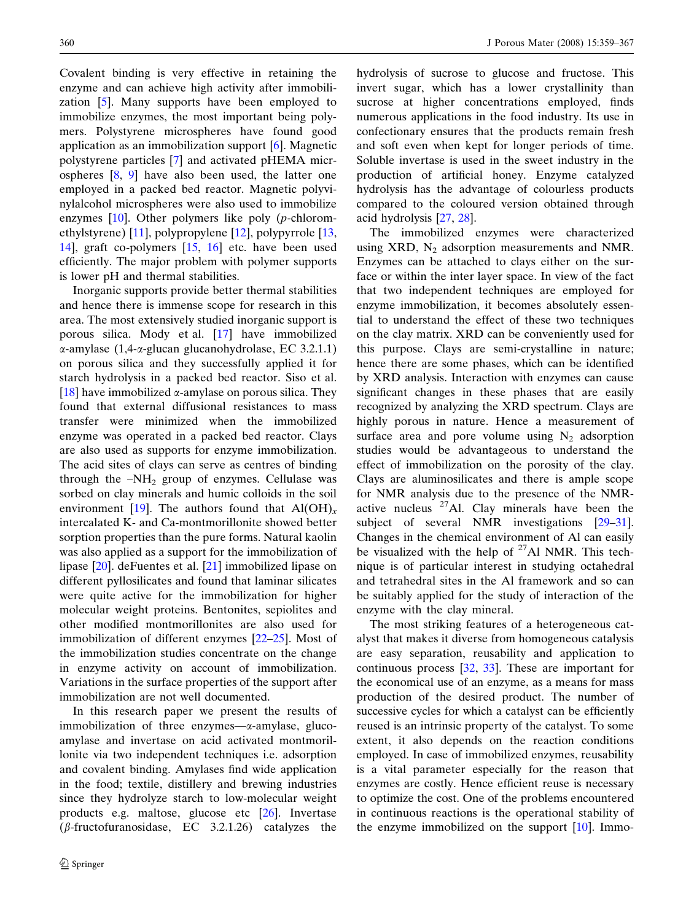Covalent binding is very effective in retaining the enzyme and can achieve high activity after immobilization [\[5](#page-7-0)]. Many supports have been employed to immobilize enzymes, the most important being polymers. Polystyrene microspheres have found good application as an immobilization support [[6\]](#page-7-0). Magnetic polystyrene particles [[7\]](#page-7-0) and activated pHEMA microspheres [[8,](#page-7-0) [9](#page-7-0)] have also been used, the latter one employed in a packed bed reactor. Magnetic polyvinylalcohol microspheres were also used to immobilize enzymes  $[10]$  $[10]$ . Other polymers like poly (*p*-chloromethylstyrene) [\[11](#page-7-0)], polypropylene [\[12](#page-7-0)], polypyrrole [[13,](#page-7-0) [14](#page-7-0)], graft co-polymers [[15,](#page-7-0) [16\]](#page-7-0) etc. have been used efficiently. The major problem with polymer supports is lower pH and thermal stabilities.

Inorganic supports provide better thermal stabilities and hence there is immense scope for research in this area. The most extensively studied inorganic support is porous silica. Mody et al. [\[17](#page-7-0)] have immobilized  $\alpha$ -amylase (1,4- $\alpha$ -glucan glucanohydrolase, EC 3.2.1.1) on porous silica and they successfully applied it for starch hydrolysis in a packed bed reactor. Siso et al. [\[18](#page-7-0)] have immobilized  $\alpha$ -amylase on porous silica. They found that external diffusional resistances to mass transfer were minimized when the immobilized enzyme was operated in a packed bed reactor. Clays are also used as supports for enzyme immobilization. The acid sites of clays can serve as centres of binding through the  $-NH_2$  group of enzymes. Cellulase was sorbed on clay minerals and humic colloids in the soil environment [\[19](#page-7-0)]. The authors found that  $\text{Al}(\text{OH})_x$ intercalated K- and Ca-montmorillonite showed better sorption properties than the pure forms. Natural kaolin was also applied as a support for the immobilization of lipase [\[20](#page-7-0)]. deFuentes et al. [\[21](#page-7-0)] immobilized lipase on different pyllosilicates and found that laminar silicates were quite active for the immobilization for higher molecular weight proteins. Bentonites, sepiolites and other modified montmorillonites are also used for immobilization of different enzymes [\[22–25](#page-7-0)]. Most of the immobilization studies concentrate on the change in enzyme activity on account of immobilization. Variations in the surface properties of the support after immobilization are not well documented.

In this research paper we present the results of immobilization of three enzymes—a-amylase, glucoamylase and invertase on acid activated montmorillonite via two independent techniques i.e. adsorption and covalent binding. Amylases find wide application in the food; textile, distillery and brewing industries since they hydrolyze starch to low-molecular weight products e.g. maltose, glucose etc [[26\]](#page-7-0). Invertase  $(\beta$ -fructofuranosidase, EC 3.2.1.26) catalyzes the hydrolysis of sucrose to glucose and fructose. This invert sugar, which has a lower crystallinity than sucrose at higher concentrations employed, finds numerous applications in the food industry. Its use in confectionary ensures that the products remain fresh and soft even when kept for longer periods of time. Soluble invertase is used in the sweet industry in the production of artificial honey. Enzyme catalyzed hydrolysis has the advantage of colourless products compared to the coloured version obtained through acid hydrolysis [[27,](#page-7-0) [28](#page-7-0)].

The immobilized enzymes were characterized using XRD,  $N_2$  adsorption measurements and NMR. Enzymes can be attached to clays either on the surface or within the inter layer space. In view of the fact that two independent techniques are employed for enzyme immobilization, it becomes absolutely essential to understand the effect of these two techniques on the clay matrix. XRD can be conveniently used for this purpose. Clays are semi-crystalline in nature; hence there are some phases, which can be identified by XRD analysis. Interaction with enzymes can cause significant changes in these phases that are easily recognized by analyzing the XRD spectrum. Clays are highly porous in nature. Hence a measurement of surface area and pore volume using  $N_2$  adsorption studies would be advantageous to understand the effect of immobilization on the porosity of the clay. Clays are aluminosilicates and there is ample scope for NMR analysis due to the presence of the NMRactive nucleus  $27$ Al. Clay minerals have been the subject of several NMR investigations [\[29–31](#page-8-0)]. Changes in the chemical environment of Al can easily be visualized with the help of  $27$ Al NMR. This technique is of particular interest in studying octahedral and tetrahedral sites in the Al framework and so can be suitably applied for the study of interaction of the enzyme with the clay mineral.

The most striking features of a heterogeneous catalyst that makes it diverse from homogeneous catalysis are easy separation, reusability and application to continuous process [[32,](#page-8-0) [33\]](#page-8-0). These are important for the economical use of an enzyme, as a means for mass production of the desired product. The number of successive cycles for which a catalyst can be efficiently reused is an intrinsic property of the catalyst. To some extent, it also depends on the reaction conditions employed. In case of immobilized enzymes, reusability is a vital parameter especially for the reason that enzymes are costly. Hence efficient reuse is necessary to optimize the cost. One of the problems encountered in continuous reactions is the operational stability of the enzyme immobilized on the support [[10\]](#page-7-0). Immo-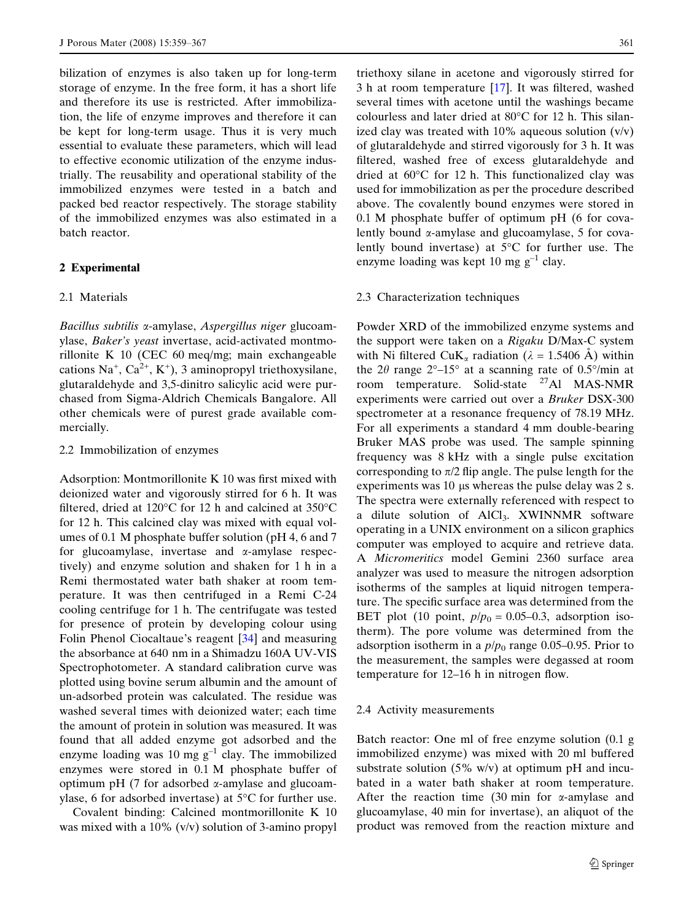bilization of enzymes is also taken up for long-term storage of enzyme. In the free form, it has a short life and therefore its use is restricted. After immobilization, the life of enzyme improves and therefore it can be kept for long-term usage. Thus it is very much essential to evaluate these parameters, which will lead to effective economic utilization of the enzyme industrially. The reusability and operational stability of the immobilized enzymes were tested in a batch and packed bed reactor respectively. The storage stability of the immobilized enzymes was also estimated in a batch reactor.

#### 2 Experimental

#### 2.1 Materials

Bacillus subtilis a-amylase, Aspergillus niger glucoamylase, Baker's yeast invertase, acid-activated montmorillonite K 10 (CEC 60 meq/mg; main exchangeable cations Na<sup>+</sup>, Ca<sup>2+</sup>, K<sup>+</sup>), 3 aminopropyl triethoxysilane, glutaraldehyde and 3,5-dinitro salicylic acid were purchased from Sigma-Aldrich Chemicals Bangalore. All other chemicals were of purest grade available commercially.

## 2.2 Immobilization of enzymes

Adsorption: Montmorillonite K 10 was first mixed with deionized water and vigorously stirred for 6 h. It was filtered, dried at  $120^{\circ}$ C for 12 h and calcined at  $350^{\circ}$ C for 12 h. This calcined clay was mixed with equal volumes of 0.1 M phosphate buffer solution (pH 4, 6 and 7 for glucoamylase, invertase and  $\alpha$ -amylase respectively) and enzyme solution and shaken for 1 h in a Remi thermostated water bath shaker at room temperature. It was then centrifuged in a Remi C-24 cooling centrifuge for 1 h. The centrifugate was tested for presence of protein by developing colour using Folin Phenol Ciocaltaue's reagent [[34\]](#page-8-0) and measuring the absorbance at 640 nm in a Shimadzu 160A UV-VIS Spectrophotometer. A standard calibration curve was plotted using bovine serum albumin and the amount of un-adsorbed protein was calculated. The residue was washed several times with deionized water; each time the amount of protein in solution was measured. It was found that all added enzyme got adsorbed and the enzyme loading was 10 mg  $g^{-1}$  clay. The immobilized enzymes were stored in 0.1 M phosphate buffer of optimum pH (7 for adsorbed  $\alpha$ -amylase and glucoamylase, 6 for adsorbed invertase) at  $5^{\circ}$ C for further use.

Covalent binding: Calcined montmorillonite K 10 was mixed with a 10% (v/v) solution of 3-amino propyl triethoxy silane in acetone and vigorously stirred for 3 h at room temperature [\[17](#page-7-0)]. It was filtered, washed several times with acetone until the washings became colourless and later dried at  $80^{\circ}$ C for 12 h. This silanized clay was treated with  $10\%$  aqueous solution  $(v/v)$ of glutaraldehyde and stirred vigorously for 3 h. It was filtered, washed free of excess glutaraldehyde and dried at  $60^{\circ}$ C for 12 h. This functionalized clay was used for immobilization as per the procedure described above. The covalently bound enzymes were stored in 0.1 M phosphate buffer of optimum pH (6 for covalently bound  $\alpha$ -amylase and glucoamylase, 5 for covalently bound invertase) at  $5^{\circ}$ C for further use. The enzyme loading was kept 10 mg  $g^{-1}$  clay.

#### 2.3 Characterization techniques

Powder XRD of the immobilized enzyme systems and the support were taken on a Rigaku D/Max-C system with Ni filtered CuK<sub>a</sub> radiation ( $\lambda = 1.5406$  Å) within the 2 $\theta$  range 2°–15° at a scanning rate of 0.5°/min at room temperature. Solid-state <sup>27</sup>Al MAS-NMR experiments were carried out over a Bruker DSX-300 spectrometer at a resonance frequency of 78.19 MHz. For all experiments a standard 4 mm double-bearing Bruker MAS probe was used. The sample spinning frequency was 8 kHz with a single pulse excitation corresponding to  $\pi/2$  flip angle. The pulse length for the experiments was 10 *l*s whereas the pulse delay was 2 s. The spectra were externally referenced with respect to a dilute solution of AlCl<sub>3</sub>. XWINNMR software operating in a UNIX environment on a silicon graphics computer was employed to acquire and retrieve data. A Micromeritics model Gemini 2360 surface area analyzer was used to measure the nitrogen adsorption isotherms of the samples at liquid nitrogen temperature. The specific surface area was determined from the BET plot (10 point,  $p/p_0 = 0.05{\text -}0.3$ , adsorption isotherm). The pore volume was determined from the adsorption isotherm in a  $p/p_0$  range 0.05–0.95. Prior to the measurement, the samples were degassed at room temperature for 12–16 h in nitrogen flow.

#### 2.4 Activity measurements

Batch reactor: One ml of free enzyme solution (0.1 g immobilized enzyme) was mixed with 20 ml buffered substrate solution (5% w/v) at optimum pH and incubated in a water bath shaker at room temperature. After the reaction time  $(30 \text{ min}$  for  $\alpha$ -amylase and glucoamylase, 40 min for invertase), an aliquot of the product was removed from the reaction mixture and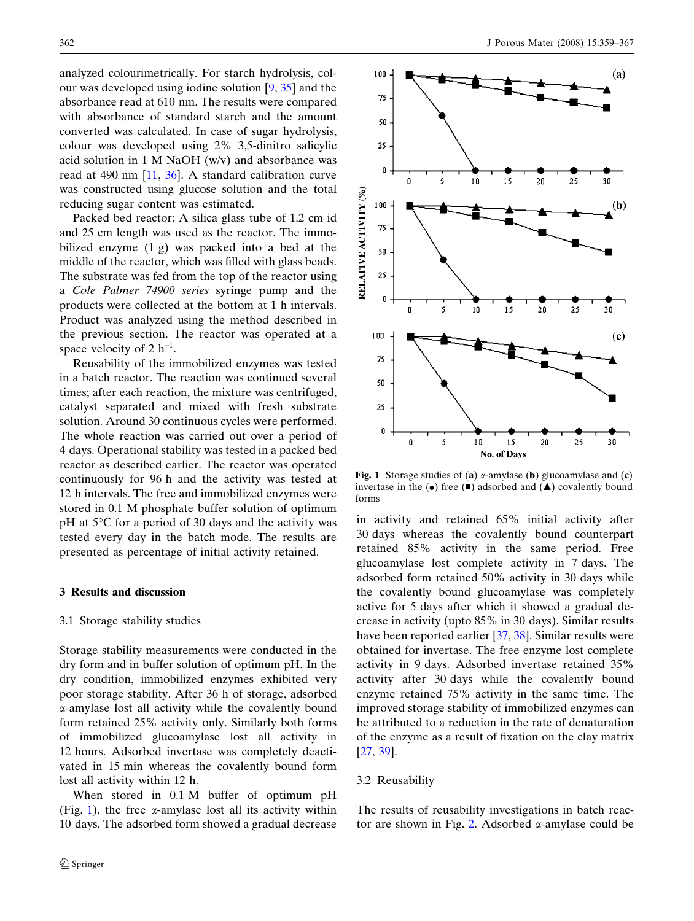analyzed colourimetrically. For starch hydrolysis, colour was developed using iodine solution [[9,](#page-7-0) [35\]](#page-8-0) and the absorbance read at 610 nm. The results were compared with absorbance of standard starch and the amount converted was calculated. In case of sugar hydrolysis, colour was developed using 2% 3,5-dinitro salicylic acid solution in 1 M NaOH (w/v) and absorbance was read at 490 nm  $[11, 36]$  $[11, 36]$  $[11, 36]$  $[11, 36]$ . A standard calibration curve was constructed using glucose solution and the total reducing sugar content was estimated.

Packed bed reactor: A silica glass tube of 1.2 cm id and 25 cm length was used as the reactor. The immobilized enzyme (1 g) was packed into a bed at the middle of the reactor, which was filled with glass beads. The substrate was fed from the top of the reactor using a Cole Palmer 74900 series syringe pump and the products were collected at the bottom at 1 h intervals. Product was analyzed using the method described in the previous section. The reactor was operated at a space velocity of 2  $h^{-1}$ .

Reusability of the immobilized enzymes was tested in a batch reactor. The reaction was continued several times; after each reaction, the mixture was centrifuged, catalyst separated and mixed with fresh substrate solution. Around 30 continuous cycles were performed. The whole reaction was carried out over a period of 4 days. Operational stability was tested in a packed bed reactor as described earlier. The reactor was operated continuously for 96 h and the activity was tested at 12 h intervals. The free and immobilized enzymes were stored in 0.1 M phosphate buffer solution of optimum pH at 5°C for a period of 30 days and the activity was tested every day in the batch mode. The results are presented as percentage of initial activity retained.

#### 3 Results and discussion

#### 3.1 Storage stability studies

Storage stability measurements were conducted in the dry form and in buffer solution of optimum pH. In the dry condition, immobilized enzymes exhibited very poor storage stability. After 36 h of storage, adsorbed a-amylase lost all activity while the covalently bound form retained 25% activity only. Similarly both forms of immobilized glucoamylase lost all activity in 12 hours. Adsorbed invertase was completely deactivated in 15 min whereas the covalently bound form lost all activity within 12 h.

When stored in 0.1 M buffer of optimum pH (Fig. 1), the free  $\alpha$ -amylase lost all its activity within 10 days. The adsorbed form showed a gradual decrease



Fig. 1 Storage studies of (a)  $\alpha$ -amylase (b) glucoamylase and (c) invertase in the  $(\bullet)$  free  $(\blacksquare)$  adsorbed and  $(\blacktriangle)$  covalently bound forms

in activity and retained 65% initial activity after 30 days whereas the covalently bound counterpart retained 85% activity in the same period. Free glucoamylase lost complete activity in 7 days. The adsorbed form retained 50% activity in 30 days while the covalently bound glucoamylase was completely active for 5 days after which it showed a gradual decrease in activity (upto 85% in 30 days). Similar results have been reported earlier [\[37](#page-8-0), [38](#page-8-0)]. Similar results were obtained for invertase. The free enzyme lost complete activity in 9 days. Adsorbed invertase retained 35% activity after 30 days while the covalently bound enzyme retained 75% activity in the same time. The improved storage stability of immobilized enzymes can be attributed to a reduction in the rate of denaturation of the enzyme as a result of fixation on the clay matrix [\[27](#page-7-0), [39](#page-8-0)].

#### 3.2 Reusability

The results of reusability investigations in batch reac-tor are shown in Fig. [2](#page-4-0). Adsorbed  $\alpha$ -amylase could be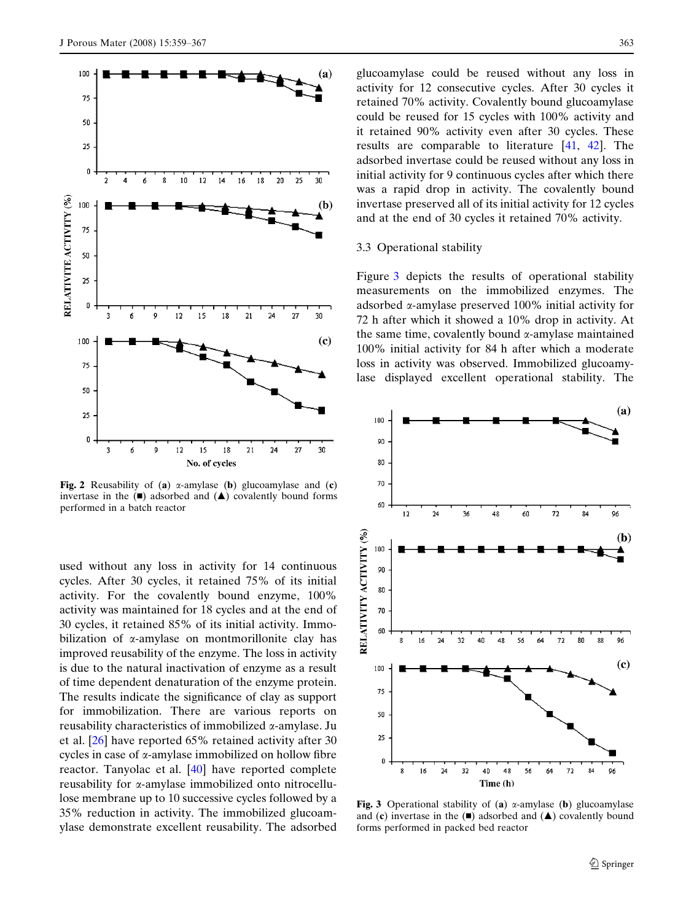<span id="page-4-0"></span>

Fig. 2 Reusability of (a)  $\alpha$ -amylase (b) glucoamylase and (c) invertase in the  $(\blacksquare)$  adsorbed and  $(\blacktriangle)$  covalently bound forms performed in a batch reactor

used without any loss in activity for 14 continuous cycles. After 30 cycles, it retained 75% of its initial activity. For the covalently bound enzyme, 100% activity was maintained for 18 cycles and at the end of 30 cycles, it retained 85% of its initial activity. Immobilization of  $\alpha$ -amylase on montmorillonite clay has improved reusability of the enzyme. The loss in activity is due to the natural inactivation of enzyme as a result of time dependent denaturation of the enzyme protein. The results indicate the significance of clay as support for immobilization. There are various reports on reusability characteristics of immobilized a-amylase. Ju et al. [\[26](#page-7-0)] have reported 65% retained activity after 30 cycles in case of  $\alpha$ -amylase immobilized on hollow fibre reactor. Tanyolac et al. [[40\]](#page-8-0) have reported complete reusability for a-amylase immobilized onto nitrocellulose membrane up to 10 successive cycles followed by a 35% reduction in activity. The immobilized glucoamylase demonstrate excellent reusability. The adsorbed glucoamylase could be reused without any loss in activity for 12 consecutive cycles. After 30 cycles it retained 70% activity. Covalently bound glucoamylase could be reused for 15 cycles with 100% activity and it retained 90% activity even after 30 cycles. These results are comparable to literature [\[41](#page-8-0), [42\]](#page-8-0). The adsorbed invertase could be reused without any loss in initial activity for 9 continuous cycles after which there was a rapid drop in activity. The covalently bound invertase preserved all of its initial activity for 12 cycles and at the end of 30 cycles it retained 70% activity.

#### 3.3 Operational stability

Figure 3 depicts the results of operational stability measurements on the immobilized enzymes. The adsorbed a-amylase preserved 100% initial activity for 72 h after which it showed a 10% drop in activity. At the same time, covalently bound  $\alpha$ -amylase maintained 100% initial activity for 84 h after which a moderate loss in activity was observed. Immobilized glucoamylase displayed excellent operational stability. The



Fig. 3 Operational stability of (a)  $\alpha$ -amylase (b) glucoamylase and (c) invertase in the  $($ **=**) adsorbed and  $($  $\blacktriangle)$  covalently bound forms performed in packed bed reactor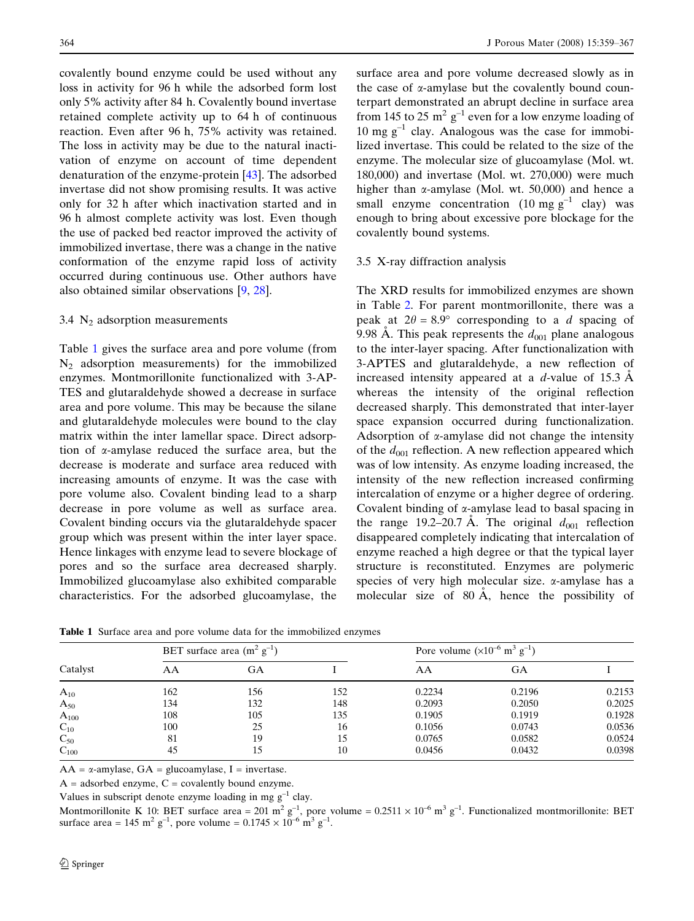covalently bound enzyme could be used without any loss in activity for 96 h while the adsorbed form lost only 5% activity after 84 h. Covalently bound invertase retained complete activity up to 64 h of continuous reaction. Even after 96 h, 75% activity was retained. The loss in activity may be due to the natural inactivation of enzyme on account of time dependent denaturation of the enzyme-protein [\[43](#page-8-0)]. The adsorbed invertase did not show promising results. It was active only for 32 h after which inactivation started and in 96 h almost complete activity was lost. Even though the use of packed bed reactor improved the activity of immobilized invertase, there was a change in the native conformation of the enzyme rapid loss of activity occurred during continuous use. Other authors have also obtained similar observations [\[9](#page-7-0), [28\]](#page-7-0).

#### 3.4  $N_2$  adsorption measurements

Table 1 gives the surface area and pore volume (from N2 adsorption measurements) for the immobilized enzymes. Montmorillonite functionalized with 3-AP-TES and glutaraldehyde showed a decrease in surface area and pore volume. This may be because the silane and glutaraldehyde molecules were bound to the clay matrix within the inter lamellar space. Direct adsorption of a-amylase reduced the surface area, but the decrease is moderate and surface area reduced with increasing amounts of enzyme. It was the case with pore volume also. Covalent binding lead to a sharp decrease in pore volume as well as surface area. Covalent binding occurs via the glutaraldehyde spacer group which was present within the inter layer space. Hence linkages with enzyme lead to severe blockage of pores and so the surface area decreased sharply. Immobilized glucoamylase also exhibited comparable characteristics. For the adsorbed glucoamylase, the

surface area and pore volume decreased slowly as in the case of  $\alpha$ -amylase but the covalently bound counterpart demonstrated an abrupt decline in surface area from 145 to 25 m<sup>2</sup> g<sup>-1</sup> even for a low enzyme loading of 10 mg  $g^{-1}$  clay. Analogous was the case for immobilized invertase. This could be related to the size of the enzyme. The molecular size of glucoamylase (Mol. wt. 180,000) and invertase (Mol. wt. 270,000) were much higher than  $\alpha$ -amylase (Mol. wt. 50,000) and hence a small enzyme concentration (10 mg  $g^{-1}$  clay) was enough to bring about excessive pore blockage for the covalently bound systems.

## 3.5 X-ray diffraction analysis

The XRD results for immobilized enzymes are shown in Table [2](#page-6-0). For parent montmorillonite, there was a peak at  $2\theta = 8.9^{\circ}$  corresponding to a d spacing of 9.98 A. This peak represents the  $d_{001}$  plane analogous to the inter-layer spacing. After functionalization with 3-APTES and glutaraldehyde, a new reflection of increased intensity appeared at a  $d$ -value of 15.3 A whereas the intensity of the original reflection decreased sharply. This demonstrated that inter-layer space expansion occurred during functionalization. Adsorption of  $\alpha$ -amylase did not change the intensity of the  $d_{001}$  reflection. A new reflection appeared which was of low intensity. As enzyme loading increased, the intensity of the new reflection increased confirming intercalation of enzyme or a higher degree of ordering. Covalent binding of  $\alpha$ -amylase lead to basal spacing in the range 19.2–20.7 Å. The original  $d_{001}$  reflection disappeared completely indicating that intercalation of enzyme reached a high degree or that the typical layer structure is reconstituted. Enzymes are polymeric species of very high molecular size.  $\alpha$ -amylase has a molecular size of  $80 \text{ Å}$ , hence the possibility of

|           | BET surface area $(m^2 g^{-1})$ |     |     | Pore volume $(x10^{-6} \text{ m}^3 \text{ g}^{-1})$ |        |        |
|-----------|---------------------------------|-----|-----|-----------------------------------------------------|--------|--------|
| Catalyst  | AA                              | GА  |     | AΑ                                                  | GА     |        |
| $A_{10}$  | 162                             | 156 | 152 | 0.2234                                              | 0.2196 | 0.2153 |
| $A_{50}$  | 134                             | 132 | 148 | 0.2093                                              | 0.2050 | 0.2025 |
| $A_{100}$ | 108                             | 105 | 135 | 0.1905                                              | 0.1919 | 0.1928 |
| $C_{10}$  | 100                             | 25  | 16  | 0.1056                                              | 0.0743 | 0.0536 |
| $C_{50}$  | 81                              | 19  | 15  | 0.0765                                              | 0.0582 | 0.0524 |
| $C_{100}$ | 45                              | 15  | 10  | 0.0456                                              | 0.0432 | 0.0398 |

Table 1 Surface area and pore volume data for the immobilized enzymes

 $AA = \alpha$ -amylase,  $GA =$  glucoamylase, I = invertase.

 $A =$  adsorbed enzyme,  $C =$  covalently bound enzyme.

Values in subscript denote enzyme loading in mg  $g^{-1}$  clay.

Montmorillonite K 10: BET surface area = 201 m<sup>2</sup> g<sup>-1</sup>, pore volume = 0.2511  $\times$  10<sup>-6</sup> m<sup>3</sup> g<sup>-1</sup>. Functionalized montmorillonite: BET surface area = 145 m<sup>2</sup> g<sup>-1</sup>, pore volume =  $0.1745 \times 10^{-6}$  m<sup>3</sup> g<sup>-1</sup>.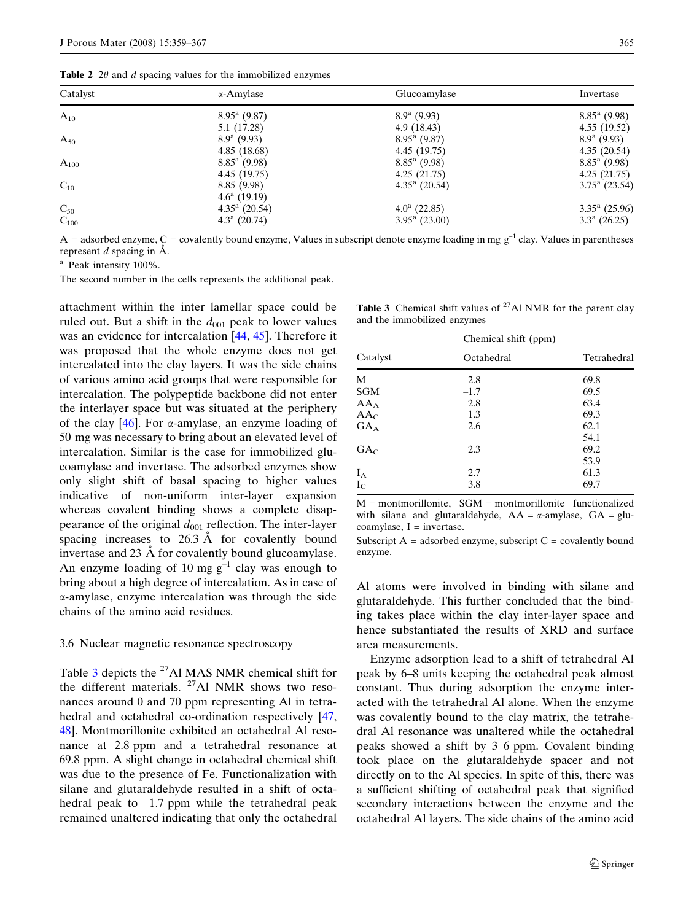<span id="page-6-0"></span>

| Catalyst  | $\alpha$ -Amylase      | Glucoamylase           | Invertase              |
|-----------|------------------------|------------------------|------------------------|
| $A_{10}$  | $8.95^{\rm a}$ (9.87)  | $8.9^{\rm a}$ (9.93)   | $8.85^{\rm a}$ (9.98)  |
|           | 5.1 (17.28)            | 4.9(18.43)             | 4.55(19.52)            |
| $A_{50}$  | $8.9^{\rm a}$ (9.93)   | $8.95^{\rm a}$ (9.87)  | $8.9^{\rm a}$ (9.93)   |
|           | 4.85(18.68)            | 4.45 (19.75)           | 4.35(20.54)            |
| $A_{100}$ | $8.85^{\rm a}$ (9.98)  | $8.85^{\rm a}$ (9.98)  | $8.85^{\rm a}$ (9.98)  |
|           | 4.45 (19.75)           | 4.25(21.75)            | 4.25(21.75)            |
| $C_{10}$  | 8.85(9.98)             | $4.35^{\rm a}$ (20.54) | $3.75^{\rm a}$ (23.54) |
|           | $4.6^a$ (19.19)        |                        |                        |
| $C_{50}$  | $4.35^{\rm a}$ (20.54) | $4.0^{\circ}$ (22.85)  | $3.35^{\rm a}$ (25.96) |
| $C_{100}$ | $4.3^{\rm a}$ (20.74)  | $3.95^{\rm a}$ (23.00) | $3.3^{\circ}$ (26.25)  |

A = adsorbed enzyme, C = covalently bound enzyme, Values in subscript denote enzyme loading in mg  $g^{-1}$  clay. Values in parentheses represent  $d$  spacing in  $\AA$ .

<sup>a</sup> Peak intensity 100%.

The second number in the cells represents the additional peak.

attachment within the inter lamellar space could be ruled out. But a shift in the  $d_{001}$  peak to lower values was an evidence for intercalation [[44,](#page-8-0) [45](#page-8-0)]. Therefore it was proposed that the whole enzyme does not get intercalated into the clay layers. It was the side chains of various amino acid groups that were responsible for intercalation. The polypeptide backbone did not enter the interlayer space but was situated at the periphery of the clay  $[46]$  $[46]$ . For  $\alpha$ -amylase, an enzyme loading of 50 mg was necessary to bring about an elevated level of intercalation. Similar is the case for immobilized glucoamylase and invertase. The adsorbed enzymes show only slight shift of basal spacing to higher values indicative of non-uniform inter-layer expansion whereas covalent binding shows a complete disappearance of the original  $d_{001}$  reflection. The inter-layer spacing increases to  $26.3 \text{ Å}$  for covalently bound invertase and 23 Å for covalently bound glucoamylase. An enzyme loading of 10 mg  $g^{-1}$  clay was enough to bring about a high degree of intercalation. As in case of a-amylase, enzyme intercalation was through the side chains of the amino acid residues.

#### 3.6 Nuclear magnetic resonance spectroscopy

Table 3 depicts the  $27$ Al MAS NMR chemical shift for the different materials. 27Al NMR shows two resonances around 0 and 70 ppm representing Al in tetra-hedral and octahedral co-ordination respectively [[47,](#page-8-0) [48](#page-8-0)]. Montmorillonite exhibited an octahedral Al resonance at 2.8 ppm and a tetrahedral resonance at 69.8 ppm. A slight change in octahedral chemical shift was due to the presence of Fe. Functionalization with silane and glutaraldehyde resulted in a shift of octahedral peak to –1.7 ppm while the tetrahedral peak remained unaltered indicating that only the octahedral

| Table 3 Chemical shift values of $27$ Al NMR for the parent clay |  |  |  |  |
|------------------------------------------------------------------|--|--|--|--|
| and the immobilized enzymes                                      |  |  |  |  |

|                 | Chemical shift (ppm) |             |  |  |
|-----------------|----------------------|-------------|--|--|
| Catalyst        | Octahedral           | Tetrahedral |  |  |
| M               | 2.8                  | 69.8        |  |  |
| SGM             | $-1.7$               | 69.5        |  |  |
| $AA_A$          | 2.8                  | 63.4        |  |  |
| AA <sub>C</sub> | 1.3                  | 69.3        |  |  |
| $GA_A$          | 2.6                  | 62.1        |  |  |
|                 |                      | 54.1        |  |  |
| $GA_C$          | 2.3                  | 69.2        |  |  |
|                 |                      | 53.9        |  |  |
| $I_A$           | 2.7                  | 61.3        |  |  |
| $I_{\rm C}$     | 3.8                  | 69.7        |  |  |

 $M =$  montmorillonite,  $SGM =$  montmorillonite functionalized with silane and glutaraldehyde,  $AA = \alpha$ -amylase,  $GA = glu$ coamylase,  $I =$  invertase.

Subscript  $A =$  adsorbed enzyme, subscript  $C =$  covalently bound enzyme.

Al atoms were involved in binding with silane and glutaraldehyde. This further concluded that the binding takes place within the clay inter-layer space and hence substantiated the results of XRD and surface area measurements.

Enzyme adsorption lead to a shift of tetrahedral Al peak by 6–8 units keeping the octahedral peak almost constant. Thus during adsorption the enzyme interacted with the tetrahedral Al alone. When the enzyme was covalently bound to the clay matrix, the tetrahedral Al resonance was unaltered while the octahedral peaks showed a shift by 3–6 ppm. Covalent binding took place on the glutaraldehyde spacer and not directly on to the Al species. In spite of this, there was a sufficient shifting of octahedral peak that signified secondary interactions between the enzyme and the octahedral Al layers. The side chains of the amino acid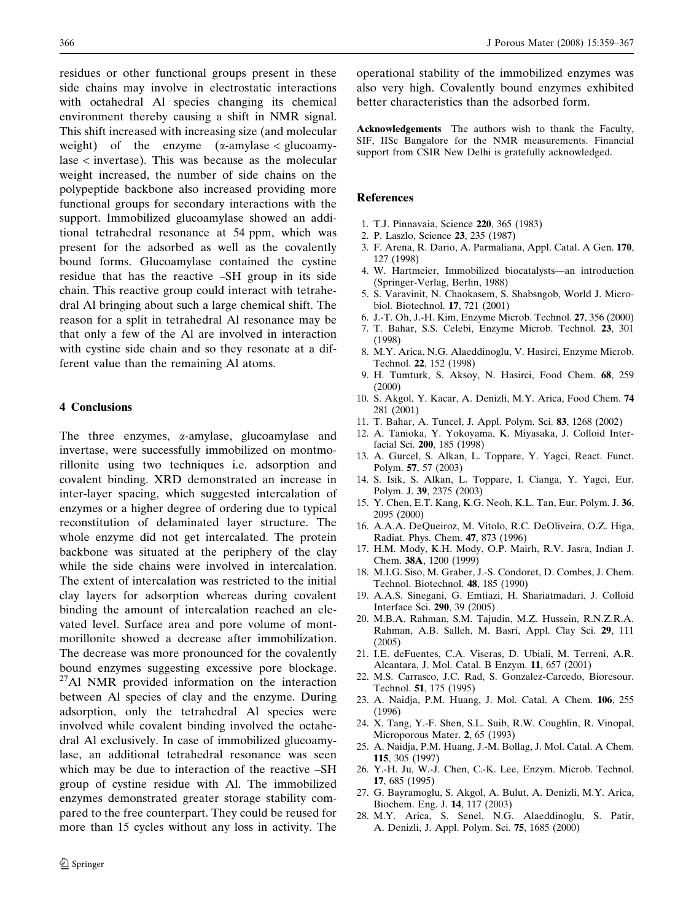<span id="page-7-0"></span>residues or other functional groups present in these side chains may involve in electrostatic interactions with octahedral Al species changing its chemical environment thereby causing a shift in NMR signal. This shift increased with increasing size (and molecular weight) of the enzyme  $(\alpha$ -amylase  $\leq$  glucoamylase < invertase). This was because as the molecular weight increased, the number of side chains on the polypeptide backbone also increased providing more functional groups for secondary interactions with the support. Immobilized glucoamylase showed an additional tetrahedral resonance at 54 ppm, which was present for the adsorbed as well as the covalently bound forms. Glucoamylase contained the cystine residue that has the reactive –SH group in its side chain. This reactive group could interact with tetrahedral Al bringing about such a large chemical shift. The reason for a split in tetrahedral Al resonance may be that only a few of the Al are involved in interaction with cystine side chain and so they resonate at a different value than the remaining Al atoms.

#### 4 Conclusions

The three enzymes,  $\alpha$ -amylase, glucoamylase and invertase, were successfully immobilized on montmorillonite using two techniques i.e. adsorption and covalent binding. XRD demonstrated an increase in inter-layer spacing, which suggested intercalation of enzymes or a higher degree of ordering due to typical reconstitution of delaminated layer structure. The whole enzyme did not get intercalated. The protein backbone was situated at the periphery of the clay while the side chains were involved in intercalation. The extent of intercalation was restricted to the initial clay layers for adsorption whereas during covalent binding the amount of intercalation reached an elevated level. Surface area and pore volume of montmorillonite showed a decrease after immobilization. The decrease was more pronounced for the covalently bound enzymes suggesting excessive pore blockage. 27Al NMR provided information on the interaction between Al species of clay and the enzyme. During adsorption, only the tetrahedral Al species were involved while covalent binding involved the octahedral Al exclusively. In case of immobilized glucoamylase, an additional tetrahedral resonance was seen which may be due to interaction of the reactive –SH group of cystine residue with Al. The immobilized enzymes demonstrated greater storage stability compared to the free counterpart. They could be reused for more than 15 cycles without any loss in activity. The

operational stability of the immobilized enzymes was also very high. Covalently bound enzymes exhibited better characteristics than the adsorbed form.

Acknowledgements The authors wish to thank the Faculty, SIF, IISc Bangalore for the NMR measurements. Financial support from CSIR New Delhi is gratefully acknowledged.

## References

- 1. T.J. Pinnavaia, Science 220, 365 (1983)
- 2. P. Laszlo, Science 23, 235 (1987)
- 3. F. Arena, R. Dario, A. Parmaliana, Appl. Catal. A Gen. 170, 127 (1998)
- 4. W. Hartmeier, Immobilized biocatalysts—an introduction (Springer-Verlag, Berlin, 1988)
- 5. S. Varavinit, N. Chaokasem, S. Shabsngob, World J. Microbiol. Biotechnol. 17, 721 (2001)
- 6. J.-T. Oh, J.-H. Kim, Enzyme Microb. Technol. 27, 356 (2000)
- 7. T. Bahar, S.S. Celebi, Enzyme Microb. Technol. 23, 301 (1998)
- 8. M.Y. Arica, N.G. Alaeddinoglu, V. Hasirci, Enzyme Microb. Technol. 22, 152 (1998)
- 9. H. Tumturk, S. Aksoy, N. Hasirci, Food Chem. 68, 259 (2000)
- 10. S. Akgol, Y. Kacar, A. Denizli, M.Y. Arica, Food Chem. 74 281 (2001)
- 11. T. Bahar, A. Tuncel, J. Appl. Polym. Sci. 83, 1268 (2002)
- 12. A. Tanioka, Y. Yokoyama, K. Miyasaka, J. Colloid Interfacial Sci. 200, 185 (1998)
- 13. A. Gurcel, S. Alkan, L. Toppare, Y. Yagci, React. Funct. Polym. 57, 57 (2003)
- 14. S. Isik, S. Alkan, L. Toppare, I. Cianga, Y. Yagci, Eur. Polym. J. 39, 2375 (2003)
- 15. Y. Chen, E.T. Kang, K.G. Neoh, K.L. Tan, Eur. Polym. J. 36, 2095 (2000)
- 16. A.A.A. DeQueiroz, M. Vitolo, R.C. DeOliveira, O.Z. Higa, Radiat. Phys. Chem. 47, 873 (1996)
- 17. H.M. Mody, K.H. Mody, O.P. Mairh, R.V. Jasra, Indian J. Chem. 38A, 1200 (1999)
- 18. M.I.G. Siso, M. Graber, J.-S. Condoret, D. Combes, J. Chem. Technol. Biotechnol. 48, 185 (1990)
- 19. A.A.S. Sinegani, G. Emtiazi, H. Shariatmadari, J. Colloid Interface Sci. 290, 39 (2005)
- 20. M.B.A. Rahman, S.M. Tajudin, M.Z. Hussein, R.N.Z.R.A. Rahman, A.B. Salleh, M. Basri, Appl. Clay Sci. 29, 111 (2005)
- 21. I.E. deFuentes, C.A. Viseras, D. Ubiali, M. Terreni, A.R. Alcantara, J. Mol. Catal. B Enzym. 11, 657 (2001)
- 22. M.S. Carrasco, J.C. Rad, S. Gonzalez-Carcedo, Bioresour. Technol. 51, 175 (1995)
- 23. A. Naidja, P.M. Huang, J. Mol. Catal. A Chem. 106, 255 (1996)
- 24. X. Tang, Y.-F. Shen, S.L. Suib, R.W. Coughlin, R. Vinopal, Microporous Mater. 2, 65 (1993)
- 25. A. Naidja, P.M. Huang, J.-M. Bollag, J. Mol. Catal. A Chem. 115, 305 (1997)
- 26. Y.-H. Ju, W.-J. Chen, C.-K. Lee, Enzym. Microb. Technol. 17, 685 (1995)
- 27. G. Bayramoglu, S. Akgol, A. Bulut, A. Denizli, M.Y. Arica, Biochem. Eng. J. 14, 117 (2003)
- 28. M.Y. Arica, S. Senel, N.G. Alaeddinoglu, S. Patir, A. Denizli, J. Appl. Polym. Sci. 75, 1685 (2000)